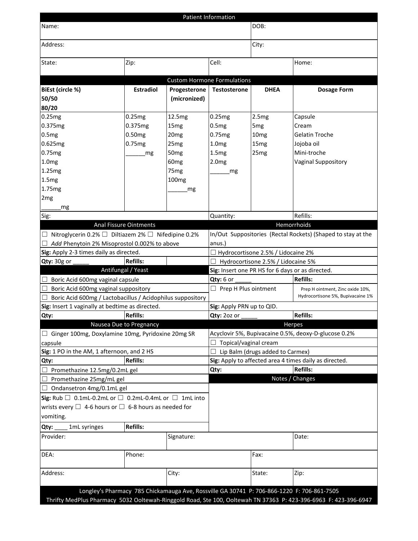| Patient Information                                                                                                                                                                                            |                               |                              |                                                              |                  |                                                        |  |  |  |
|----------------------------------------------------------------------------------------------------------------------------------------------------------------------------------------------------------------|-------------------------------|------------------------------|--------------------------------------------------------------|------------------|--------------------------------------------------------|--|--|--|
| Name:                                                                                                                                                                                                          |                               |                              | DOB:                                                         |                  |                                                        |  |  |  |
| Address:                                                                                                                                                                                                       |                               |                              | City:                                                        |                  |                                                        |  |  |  |
| State:                                                                                                                                                                                                         | Zip:                          |                              | Cell:                                                        |                  | Home:                                                  |  |  |  |
|                                                                                                                                                                                                                |                               |                              |                                                              |                  |                                                        |  |  |  |
|                                                                                                                                                                                                                | <b>Estradiol</b>              |                              | <b>Custom Hormone Formulations</b><br><b>Testosterone</b>    | <b>DHEA</b>      |                                                        |  |  |  |
| BiEst (circle %)<br>50/50                                                                                                                                                                                      |                               | Progesterone<br>(micronized) |                                                              |                  | <b>Dosage Form</b>                                     |  |  |  |
| 80/20                                                                                                                                                                                                          |                               |                              |                                                              |                  |                                                        |  |  |  |
| 0.25mg                                                                                                                                                                                                         | 0.25mg                        | 12.5mg                       | 0.25mg                                                       | 2.5mg            | Capsule                                                |  |  |  |
| 0.375mg                                                                                                                                                                                                        | 0.375mg                       | 15 <sub>mg</sub>             | 0.5mg                                                        | 5 <sub>mg</sub>  | Cream                                                  |  |  |  |
| 0.5mg                                                                                                                                                                                                          | 0.50mg                        | 20 <sub>mg</sub>             | 0.75mg                                                       | 10 <sub>mg</sub> | <b>Gelatin Troche</b>                                  |  |  |  |
| 0.625mg                                                                                                                                                                                                        | 0.75mg                        | 25 <sub>mg</sub>             | 1.0 <sub>mg</sub>                                            | 15 <sub>mg</sub> | Jojoba oil                                             |  |  |  |
| 0.75mg                                                                                                                                                                                                         |                               | 50 <sub>mg</sub>             | 1.5mg                                                        | 25 <sub>mg</sub> | Mini-troche                                            |  |  |  |
|                                                                                                                                                                                                                | mg                            |                              |                                                              |                  |                                                        |  |  |  |
| 1.0 <sub>mg</sub>                                                                                                                                                                                              |                               | 60 <sub>mg</sub>             | 2.0 <sub>mg</sub>                                            |                  | Vaginal Suppository                                    |  |  |  |
| 1.25mg                                                                                                                                                                                                         |                               | 75 <sub>mg</sub>             | mg                                                           |                  |                                                        |  |  |  |
| 1.5mg                                                                                                                                                                                                          |                               | 100 <sub>mg</sub>            |                                                              |                  |                                                        |  |  |  |
| 1.75mg                                                                                                                                                                                                         |                               | mg                           |                                                              |                  |                                                        |  |  |  |
| 2 <sub>mg</sub>                                                                                                                                                                                                |                               |                              |                                                              |                  |                                                        |  |  |  |
| mg                                                                                                                                                                                                             |                               |                              |                                                              |                  |                                                        |  |  |  |
| Sig:                                                                                                                                                                                                           |                               |                              | Quantity:                                                    |                  | Refills:                                               |  |  |  |
|                                                                                                                                                                                                                | <b>Anal Fissure Ointments</b> |                              |                                                              |                  | Hemorrhoids                                            |  |  |  |
| □ Nitroglycerin 0.2% □ Diltiazem 2% □ Nifedipine 0.2%                                                                                                                                                          |                               |                              | In/Out Suppositories (Rectal Rockets) (Shaped to stay at the |                  |                                                        |  |  |  |
| Add Phenytoin 2% Misoprostol 0.002% to above                                                                                                                                                                   |                               |                              | anus.)                                                       |                  |                                                        |  |  |  |
| Sig: Apply 2-3 times daily as directed.                                                                                                                                                                        |                               |                              | $\Box$ Hydrocortisone 2.5% / Lidocaine 2%                    |                  |                                                        |  |  |  |
| Qty: 30g or                                                                                                                                                                                                    | <b>Refills:</b>               |                              | Hydrocortisone 2.5% / Lidocaine 5%                           |                  |                                                        |  |  |  |
|                                                                                                                                                                                                                | Antifungal / Yeast            |                              | Sig: Insert one PR HS for 6 days or as directed.             |                  |                                                        |  |  |  |
| Boric Acid 600mg vaginal capsule                                                                                                                                                                               |                               |                              | $Qty: 6$ or                                                  |                  | <b>Refills:</b>                                        |  |  |  |
| Boric Acid 600mg vaginal suppository                                                                                                                                                                           |                               |                              | $\Box$ Prep H Plus ointment                                  |                  | Prep H ointment, Zinc oxide 10%,                       |  |  |  |
| Boric Acid 600mg / Lactobacillus / Acidophilus suppository                                                                                                                                                     |                               |                              | Hydrocortisone 5%, Bupivacaine 1%                            |                  |                                                        |  |  |  |
| Sig: Insert 1 vaginally at bedtime as directed.                                                                                                                                                                |                               |                              | Sig: Apply PRN up to QID.                                    |                  |                                                        |  |  |  |
| Qty:                                                                                                                                                                                                           | <b>Refills:</b>               | Qty: 20z or                  |                                                              |                  | <b>Refills:</b>                                        |  |  |  |
|                                                                                                                                                                                                                | Nausea Due to Pregnancy       |                              | Herpes                                                       |                  |                                                        |  |  |  |
| $\Box$ Ginger 100mg, Doxylamine 10mg, Pyridoxine 20mg SR                                                                                                                                                       |                               |                              | Acyclovir 5%, Bupivacaine 0.5%, deoxy-D-glucose 0.2%         |                  |                                                        |  |  |  |
| capsule                                                                                                                                                                                                        |                               |                              | Topical/vaginal cream                                        |                  |                                                        |  |  |  |
| Sig: 1 PO in the AM, 1 afternoon, and 2 HS                                                                                                                                                                     |                               |                              | Lip Balm (drugs added to Carmex)                             |                  |                                                        |  |  |  |
| Qty:                                                                                                                                                                                                           | <b>Refills:</b>               |                              |                                                              |                  | Sig: Apply to affected area 4 times daily as directed. |  |  |  |
| Promethazine 12.5mg/0.2mL gel                                                                                                                                                                                  |                               |                              | Qty:                                                         |                  | <b>Refills:</b>                                        |  |  |  |
| Promethazine 25mg/mL gel                                                                                                                                                                                       |                               |                              |                                                              |                  | Notes / Changes                                        |  |  |  |
| Ondansetron 4mg/0.1mL gel                                                                                                                                                                                      |                               |                              |                                                              |                  |                                                        |  |  |  |
| Sig: Rub $\Box$ 0.1mL-0.2mL or $\Box$ 0.2mL-0.4mL or $\Box$ 1mL into                                                                                                                                           |                               |                              |                                                              |                  |                                                        |  |  |  |
| wrists every $\Box$ 4-6 hours or $\Box$ 6-8 hours as needed for                                                                                                                                                |                               |                              |                                                              |                  |                                                        |  |  |  |
| vomiting.                                                                                                                                                                                                      |                               |                              |                                                              |                  |                                                        |  |  |  |
| Qty:<br>1mL syringes                                                                                                                                                                                           | <b>Refills:</b>               |                              |                                                              |                  |                                                        |  |  |  |
|                                                                                                                                                                                                                |                               |                              |                                                              |                  |                                                        |  |  |  |
| Provider:                                                                                                                                                                                                      |                               | Signature:                   |                                                              |                  | Date:                                                  |  |  |  |
| DEA:                                                                                                                                                                                                           | Phone:                        |                              |                                                              | Fax:             |                                                        |  |  |  |
| Address:                                                                                                                                                                                                       |                               | City:                        |                                                              | State:           | Zip:                                                   |  |  |  |
|                                                                                                                                                                                                                |                               |                              |                                                              |                  |                                                        |  |  |  |
| Longley's Pharmacy 785 Chickamauga Ave, Rossville GA 30741 P: 706-866-1220 F: 706-861-7505<br>Thrifty MedPlus Pharmacy 5032 Ooltewah-Ringgold Road, Ste 100, Ooltewah TN 37363 P: 423-396-6963 F: 423-396-6947 |                               |                              |                                                              |                  |                                                        |  |  |  |